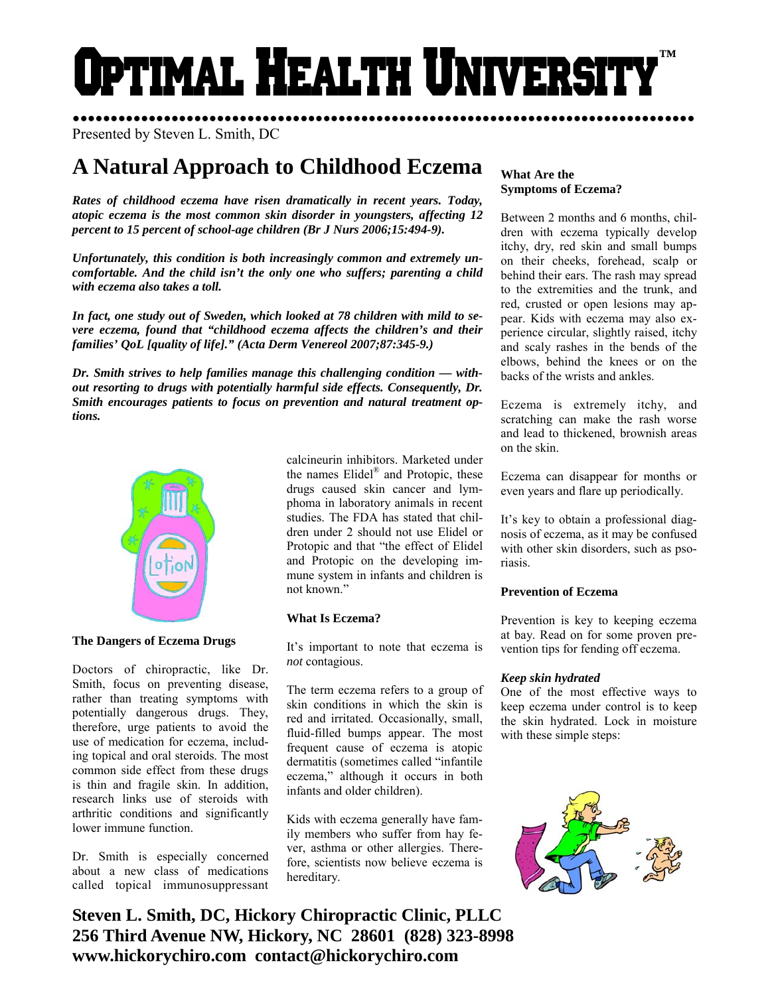# ptimal Health Universi **™**

Presented by Steven L. Smith, DC

## **A Natural Approach to Childhood Eczema**

*Rates of childhood eczema have risen dramatically in recent years. Today, atopic eczema is the most common skin disorder in youngsters, affecting 12 percent to 15 percent of school-age children (Br J Nurs 2006;15:494-9).* 

*Unfortunately, this condition is both increasingly common and extremely uncomfortable. And the child isn't the only one who suffers; parenting a child with eczema also takes a toll.* 

*In fact, one study out of Sweden, which looked at 78 children with mild to severe eczema, found that "childhood eczema affects the children's and their families' QoL [quality of life]." (Acta Derm Venereol 2007;87:345-9.)* 

*tions.* 



#### **The Dangers of Eczema Drugs**

Doctors of chiropractic, like Dr. Smith, focus on preventing disease, rather than treating symptoms with potentially dangerous drugs. They, therefore, urge patients to avoid the use of medication for eczema, including topical and oral steroids. The most common side effect from these drugs is thin and fragile skin. In addition, research links use of steroids with arthritic conditions and significantly lower immune function.

Dr. Smith is especially concerned about a new class of medications called topical immunosuppressant

calcineurin inhibitors. Marketed under the names Elidel® and Protopic, these drugs caused skin cancer and lymphoma in laboratory animals in recent studies. The FDA has stated that children under 2 should not use Elidel or Protopic and that "the effect of Elidel and Protopic on the developing immune system in infants and children is not known."

#### **What Is Eczema?**

It's important to note that eczema is *not* contagious.

The term eczema refers to a group of skin conditions in which the skin is red and irritated. Occasionally, small, fluid-filled bumps appear. The most frequent cause of eczema is atopic dermatitis (sometimes called "infantile eczema," although it occurs in both infants and older children).

Kids with eczema generally have family members who suffer from hay fever, asthma or other allergies. Therefore, scientists now believe eczema is hereditary.

### *Dr. Smith strives to help families manage this challenging condition — without resorting to drugs with potentially harmful side effects. Consequently, Dr. Smith encourages patients to focus on prevention and natural treatment op-*

**What Are the Symptoms of Eczema?** 

●●●●●●●●●●●●●●●●●●●●●●●●●●●●●●●●●●●●●●●●●●●●●●●●●●●●●●●●●●●●●●●●●●●●●●●●●●●●●●●●●●

Between 2 months and 6 months, children with eczema typically develop itchy, dry, red skin and small bumps on their cheeks, forehead, scalp or behind their ears. The rash may spread to the extremities and the trunk, and red, crusted or open lesions may appear. Kids with eczema may also experience circular, slightly raised, itchy and scaly rashes in the bends of the elbows, behind the knees or on the backs of the wrists and ankles.

Eczema is extremely itchy, and scratching can make the rash worse and lead to thickened, brownish areas on the skin.

Eczema can disappear for months or even years and flare up periodically.

It's key to obtain a professional diagnosis of eczema, as it may be confused with other skin disorders, such as psoriasis.

#### **Prevention of Eczema**

Prevention is key to keeping eczema at bay. Read on for some proven prevention tips for fending off eczema.

#### *Keep skin hydrated*

One of the most effective ways to keep eczema under control is to keep the skin hydrated. Lock in moisture with these simple steps:



**Steven L. Smith, DC, Hickory Chiropractic Clinic, PLLC 256 Third Avenue NW, Hickory, NC 28601 (828) 323-8998 www.hickorychiro.com contact@hickorychiro.com**